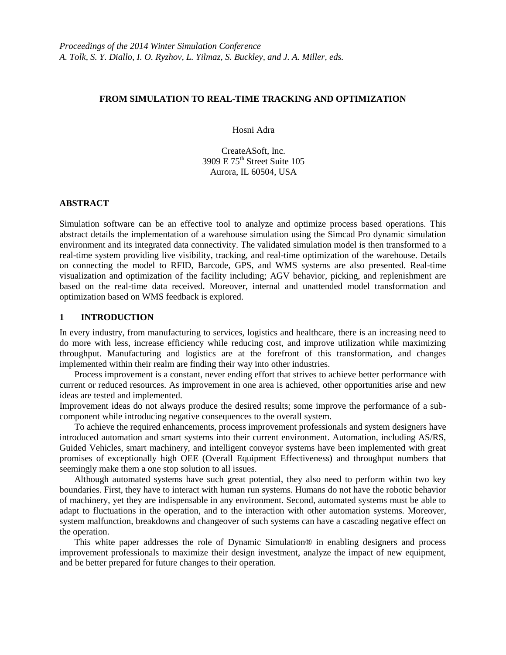### **FROM SIMULATION TO REAL-TIME TRACKING AND OPTIMIZATION**

Hosni Adra

CreateASoft, Inc. 3909 E 75th Street Suite 105 Aurora, IL 60504, USA

### **ABSTRACT**

Simulation software can be an effective tool to analyze and optimize process based operations. This abstract details the implementation of a warehouse simulation using the Simcad Pro dynamic simulation environment and its integrated data connectivity. The validated simulation model is then transformed to a real-time system providing live visibility, tracking, and real-time optimization of the warehouse. Details on connecting the model to RFID, Barcode, GPS, and WMS systems are also presented. Real-time visualization and optimization of the facility including; AGV behavior, picking, and replenishment are based on the real-time data received. Moreover, internal and unattended model transformation and optimization based on WMS feedback is explored.

### **1 INTRODUCTION**

In every industry, from manufacturing to services, logistics and healthcare, there is an increasing need to do more with less, increase efficiency while reducing cost, and improve utilization while maximizing throughput. Manufacturing and logistics are at the forefront of this transformation, and changes implemented within their realm are finding their way into other industries.

Process improvement is a constant, never ending effort that strives to achieve better performance with current or reduced resources. As improvement in one area is achieved, other opportunities arise and new ideas are tested and implemented.

Improvement ideas do not always produce the desired results; some improve the performance of a subcomponent while introducing negative consequences to the overall system.

To achieve the required enhancements, process improvement professionals and system designers have introduced automation and smart systems into their current environment. Automation, including AS/RS, Guided Vehicles, smart machinery, and intelligent conveyor systems have been implemented with great promises of exceptionally high OEE (Overall Equipment Effectiveness) and throughput numbers that seemingly make them a one stop solution to all issues.

Although automated systems have such great potential, they also need to perform within two key boundaries. First, they have to interact with human run systems. Humans do not have the robotic behavior of machinery, yet they are indispensable in any environment. Second, automated systems must be able to adapt to fluctuations in the operation, and to the interaction with other automation systems. Moreover, system malfunction, breakdowns and changeover of such systems can have a cascading negative effect on the operation.

This white paper addresses the role of Dynamic Simulation® in enabling designers and process improvement professionals to maximize their design investment, analyze the impact of new equipment, and be better prepared for future changes to their operation.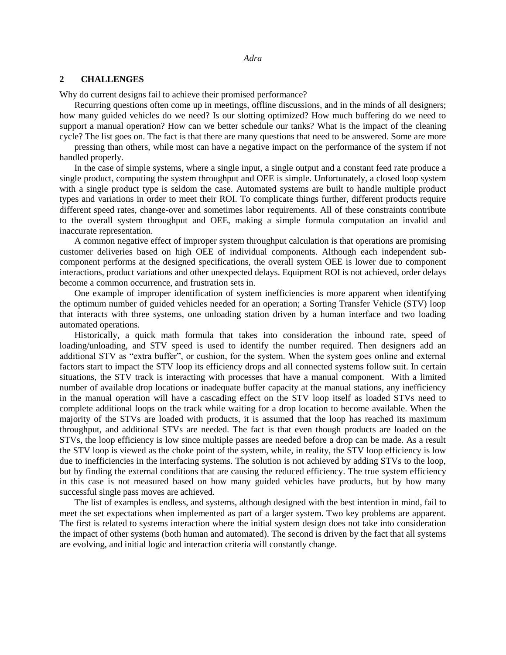### **2 CHALLENGES**

Why do current designs fail to achieve their promised performance?

Recurring questions often come up in meetings, offline discussions, and in the minds of all designers; how many guided vehicles do we need? Is our slotting optimized? How much buffering do we need to support a manual operation? How can we better schedule our tanks? What is the impact of the cleaning cycle? The list goes on. The fact is that there are many questions that need to be answered. Some are more

pressing than others, while most can have a negative impact on the performance of the system if not handled properly.

In the case of simple systems, where a single input, a single output and a constant feed rate produce a single product, computing the system throughput and OEE is simple. Unfortunately, a closed loop system with a single product type is seldom the case. Automated systems are built to handle multiple product types and variations in order to meet their ROI. To complicate things further, different products require different speed rates, change-over and sometimes labor requirements. All of these constraints contribute to the overall system throughput and OEE, making a simple formula computation an invalid and inaccurate representation.

A common negative effect of improper system throughput calculation is that operations are promising customer deliveries based on high OEE of individual components. Although each independent subcomponent performs at the designed specifications, the overall system OEE is lower due to component interactions, product variations and other unexpected delays. Equipment ROI is not achieved, order delays become a common occurrence, and frustration sets in.

One example of improper identification of system inefficiencies is more apparent when identifying the optimum number of guided vehicles needed for an operation; a Sorting Transfer Vehicle (STV) loop that interacts with three systems, one unloading station driven by a human interface and two loading automated operations.

Historically, a quick math formula that takes into consideration the inbound rate, speed of loading/unloading, and STV speed is used to identify the number required. Then designers add an additional STV as "extra buffer", or cushion, for the system. When the system goes online and external factors start to impact the STV loop its efficiency drops and all connected systems follow suit. In certain situations, the STV track is interacting with processes that have a manual component. With a limited number of available drop locations or inadequate buffer capacity at the manual stations, any inefficiency in the manual operation will have a cascading effect on the STV loop itself as loaded STVs need to complete additional loops on the track while waiting for a drop location to become available. When the majority of the STVs are loaded with products, it is assumed that the loop has reached its maximum throughput, and additional STVs are needed. The fact is that even though products are loaded on the STVs, the loop efficiency is low since multiple passes are needed before a drop can be made. As a result the STV loop is viewed as the choke point of the system, while, in reality, the STV loop efficiency is low due to inefficiencies in the interfacing systems. The solution is not achieved by adding STVs to the loop, but by finding the external conditions that are causing the reduced efficiency. The true system efficiency in this case is not measured based on how many guided vehicles have products, but by how many successful single pass moves are achieved.

The list of examples is endless, and systems, although designed with the best intention in mind, fail to meet the set expectations when implemented as part of a larger system. Two key problems are apparent. The first is related to systems interaction where the initial system design does not take into consideration the impact of other systems (both human and automated). The second is driven by the fact that all systems are evolving, and initial logic and interaction criteria will constantly change.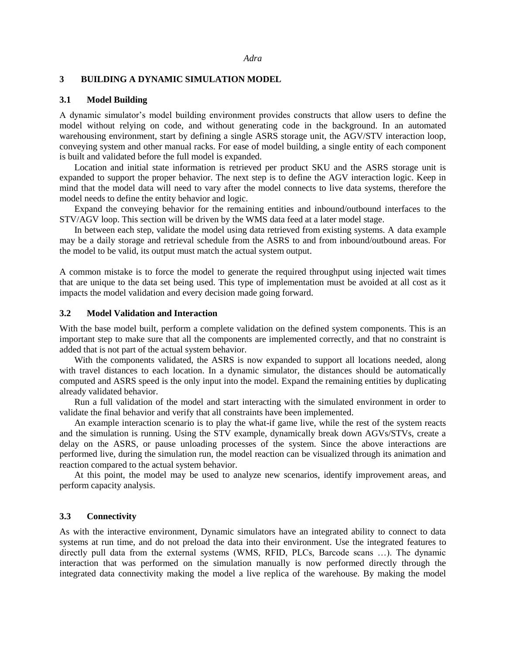# **3 BUILDING A DYNAMIC SIMULATION MODEL**

#### **3.1 Model Building**

A dynamic simulator's model building environment provides constructs that allow users to define the model without relying on code, and without generating code in the background. In an automated warehousing environment, start by defining a single ASRS storage unit, the AGV/STV interaction loop, conveying system and other manual racks. For ease of model building, a single entity of each component is built and validated before the full model is expanded.

Location and initial state information is retrieved per product SKU and the ASRS storage unit is expanded to support the proper behavior. The next step is to define the AGV interaction logic. Keep in mind that the model data will need to vary after the model connects to live data systems, therefore the model needs to define the entity behavior and logic.

Expand the conveying behavior for the remaining entities and inbound/outbound interfaces to the STV/AGV loop. This section will be driven by the WMS data feed at a later model stage.

In between each step, validate the model using data retrieved from existing systems. A data example may be a daily storage and retrieval schedule from the ASRS to and from inbound/outbound areas. For the model to be valid, its output must match the actual system output.

A common mistake is to force the model to generate the required throughput using injected wait times that are unique to the data set being used. This type of implementation must be avoided at all cost as it impacts the model validation and every decision made going forward.

### **3.2 Model Validation and Interaction**

With the base model built, perform a complete validation on the defined system components. This is an important step to make sure that all the components are implemented correctly, and that no constraint is added that is not part of the actual system behavior.

With the components validated, the ASRS is now expanded to support all locations needed, along with travel distances to each location. In a dynamic simulator, the distances should be automatically computed and ASRS speed is the only input into the model. Expand the remaining entities by duplicating already validated behavior.

Run a full validation of the model and start interacting with the simulated environment in order to validate the final behavior and verify that all constraints have been implemented.

An example interaction scenario is to play the what-if game live, while the rest of the system reacts and the simulation is running. Using the STV example, dynamically break down AGVs/STVs, create a delay on the ASRS, or pause unloading processes of the system. Since the above interactions are performed live, during the simulation run, the model reaction can be visualized through its animation and reaction compared to the actual system behavior.

At this point, the model may be used to analyze new scenarios, identify improvement areas, and perform capacity analysis.

#### **3.3 Connectivity**

As with the interactive environment, Dynamic simulators have an integrated ability to connect to data systems at run time, and do not preload the data into their environment. Use the integrated features to directly pull data from the external systems (WMS, RFID, PLCs, Barcode scans …). The dynamic interaction that was performed on the simulation manually is now performed directly through the integrated data connectivity making the model a live replica of the warehouse. By making the model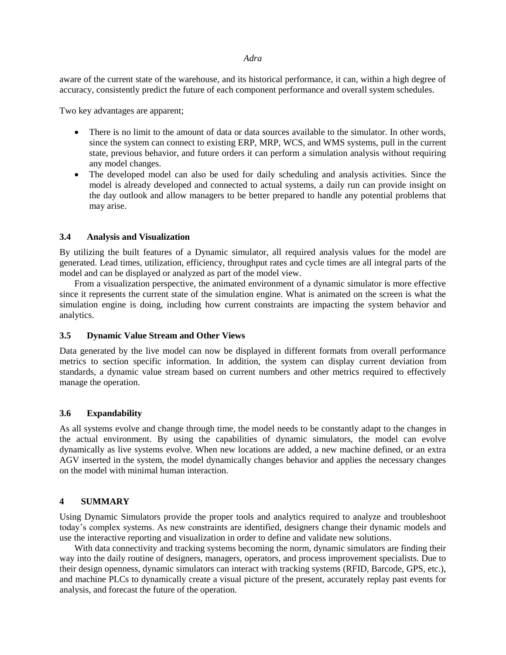#### *Adra*

aware of the current state of the warehouse, and its historical performance, it can, within a high degree of accuracy, consistently predict the future of each component performance and overall system schedules.

Two key advantages are apparent;

- There is no limit to the amount of data or data sources available to the simulator. In other words, since the system can connect to existing ERP, MRP, WCS, and WMS systems, pull in the current state, previous behavior, and future orders it can perform a simulation analysis without requiring any model changes.
- The developed model can also be used for daily scheduling and analysis activities. Since the model is already developed and connected to actual systems, a daily run can provide insight on the day outlook and allow managers to be better prepared to handle any potential problems that may arise.

# **3.4 Analysis and Visualization**

By utilizing the built features of a Dynamic simulator, all required analysis values for the model are generated. Lead times, utilization, efficiency, throughput rates and cycle times are all integral parts of the model and can be displayed or analyzed as part of the model view.

From a visualization perspective, the animated environment of a dynamic simulator is more effective since it represents the current state of the simulation engine. What is animated on the screen is what the simulation engine is doing, including how current constraints are impacting the system behavior and analytics.

# **3.5 Dynamic Value Stream and Other Views**

Data generated by the live model can now be displayed in different formats from overall performance metrics to section specific information. In addition, the system can display current deviation from standards, a dynamic value stream based on current numbers and other metrics required to effectively manage the operation.

# **3.6 Expandability**

As all systems evolve and change through time, the model needs to be constantly adapt to the changes in the actual environment. By using the capabilities of dynamic simulators, the model can evolve dynamically as live systems evolve. When new locations are added, a new machine defined, or an extra AGV inserted in the system, the model dynamically changes behavior and applies the necessary changes on the model with minimal human interaction.

# **4 SUMMARY**

Using Dynamic Simulators provide the proper tools and analytics required to analyze and troubleshoot today's complex systems. As new constraints are identified, designers change their dynamic models and use the interactive reporting and visualization in order to define and validate new solutions.

With data connectivity and tracking systems becoming the norm, dynamic simulators are finding their way into the daily routine of designers, managers, operators, and process improvement specialists. Due to their design openness, dynamic simulators can interact with tracking systems (RFID, Barcode, GPS, etc.), and machine PLCs to dynamically create a visual picture of the present, accurately replay past events for analysis, and forecast the future of the operation.